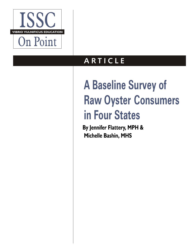

## **A R TICLE**

# **A Baseline Survey of Raw Oyster Consumers in Four States**

**By Jennifer Flattery, MPH & Michelle Bashin, MHS**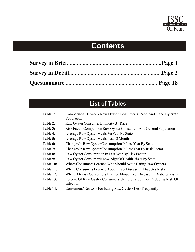

## **Contents**

## **List of Tables**

| Table 1:         | Comparison Between Raw Oyster Consumer's Race And Race By State<br>Population    |
|------------------|----------------------------------------------------------------------------------|
| Table 2:         | Raw Oyster Consumer Ethnicity By Race                                            |
| Table 3:         | Risk Factor Comparison Raw Oyster Consumers And General Population               |
| Table 4:         | Average Raw Oyster Meals Per Year By State                                       |
| Table 5:         | Average Raw Oyster Meals Last 12 Months                                          |
| Table 6:         | Changes In Raw Oyster Consumption In Last Year By State                          |
| Table 7:         | Changes In Raw Oyster Consumption In Last Year By Risk Factor                    |
| <b>Table 8:</b>  | Raw Oyster Consumption In Last Year By Risk Factor                               |
| Table 9:         | Raw Oyster Consumer Knowledge Of Health Risks By State                           |
| <b>Table 10:</b> | Where Consumers Learned Who Should Avoid Eating Raw Oysters                      |
| Table 11:        | Where Consumers Learned About Liver Disease Or Diabetes Risks                    |
| Table 12:        | Where At-Risk Consumers Learned About Liver Disease Or Diabetes Risks            |
| Table 13:        | Percent Of Raw Oyster Consumers Using Strategy For Reducing Risk Of<br>Infection |
| Table 14:        | Consumers' Reasons For Eating Raw Oysters Less Frequently                        |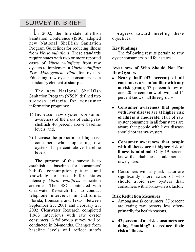## SURVEY IN BRIEF

In 2002, the Interstate Shellfish progress toward meeting these Sanitation Conference (ISSC) adopted new National Shellfish Sanitation Program Guidelines for reducing illness from *Vibrio vulnificus*. These standards require states with two or more reported cases of *Vibrio vulnificus* from raw oysters to implement a *Vibrio vulnificus Risk Management Plan* for oysters. Educating raw-oyster consumers is a mandatory element of state plans.

The new National Shellfish Sanitation Program (NSSP) defined two success criteria for consumer information programs:

- 1) Increase raw-oyster consumer awareness of the risks of eating raw shellfish 40 percent above baseline levels; and,
- 2) Increase the proportion of high-risk consumers who stop eating raw oysters 15 percent above baseline levels.

The purpose of this survey is to establish a baseline for consumers' beliefs, consumption patterns and knowledge of risks before states intensify *Vibrio vulnificus* education activities. The ISSC contracted with Clearwater Research Inc. to conduct telephone interviews in California, Florida, Louisiana and Texas. Between September 27, 2001 and February 28, 2002 Clearwater Research completed 1,963 interviews with raw oyster consumers. A follow-up survey will be conducted in 24-months. Changes from baseline levels will reflect state's objectives.

## **Key Findings**

The following results pertain to raw oyster consumers in all four states.

**Awareness of Who Should Not Eat Raw Oysters**

- ! **Nearly half (43 percent) of all consumers are unfamiliar with any at-risk group**; 57 percent know of one; 20 percent know of two; and 14 percent know of all three groups.
- ! **Consumer awareness that people with liver disease are at higher risk of illness is moderate.** Half of raw oyster consumers in all four states are aware that people with liver disease should not eat raw oysters.
- ! **Consumer awareness that people with diabetes are at higher risk of illness is minimal.** Only 19 percent know that diabetics should not eat raw oysters.
- Consumers with any risk factor are significantly more aware of who should avoid raw oysters than consumers with no known risk factor.

## **Risk Reduction Measures**

- Among at-risk consumers, 37 percent are eating raw oysters less oftenprimarily for health reasons.
- ! **42 percent of at-risk consumers are doing "nothing" to reduce their risk of illness.**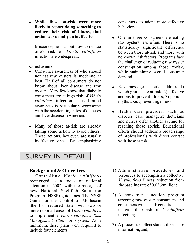! **While those at-risk were more likely to report doing something to reduce their risk of illness, that action was usually an ineffective** 

Misconceptions about how to reduce one's risk of *Vibrio vulnificus* infection are widespread.

## **Conclusions**

- Consumer awareness of who should not eat raw oysters is moderate at best. Half of all consumers do not know about liver disease and raw oysters. Very few know that diabetic consumers are at high risk of *Vibrio vulnificus* infection. This limited awareness is particularly worrisome with the accelerating rates of diabetes and liver disease in America.
- Many of those at-risk are already taking some action to avoid illness. These actions, however, are usually ineffective ones. By emphasizing

SURVEY IN DETAIL

## **Background & Objectives**

Controlling *Vibrio vulnificus* reemerged as a focus of national attention in 2002, with the passage of new National Shellfish Sanitation Program (NSSP) guidelines. The NSSP Guide for the Control of Molluscan Shellfish required states with two or more reported cases of *Vibrio vulnificus* to implement a *Vibrio vulnificus Risk Management Plan* for oysters. At a minimum, these plans were required to include four elements:

consumers to adopt more effective behaviors.

- One in three consumers are eating raw oysters less often. There is no statistically significant difference between those at-risk and those with no known risk factors. Programs face the challenge of reducing raw oyster consumption among those at-risk, while maintaining overall consumer demand.
- Key messages should address 1) which groups are at risk; 2) effective actions to prevent illness; 3) popular myths about preventing illness.
- ! Health care providers such as diabetes care managers; dieticians and nurses offer another avenue for reaching those at-risk. Educational efforts should address a broad range of professionals with direct contact with those at risk.
- 1) Administrative procedures and resources to accomplish a collective *V. vulnificus* illness reduction from the baseline rate of 0.036/million;
- 2) A consumer education program targeting raw oyster consumers and consumers with health conditions that increase their risk of *V. vulnificus* infection;
- 3) A process to collect standardized case information, and;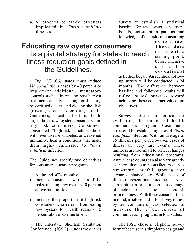4) A process to track products implicated in *Vibrio vulnificus* illnesses.

survey to establish a statistical baseline for raw oyster consumers' beliefs, consumption patterns and knowledge of the risks of consuming

> oysters raw. These data represent a starting point, before intensive s t a t e

## **Educating raw oyster consumers** is a pivotal strategy for states to reach illness reduction goals defined in the Guidelines.

By 12/31/06, states must reduce *Vibrio vulnificus* cases by 40 percent or implement additional, mandatory controls such as increasing post harvest treatment capacity, labeling for shucking by certified dealer, and closing shellfish growing areas. According to the Guidelines, educational efforts should target both raw oyster consumers and high-risk consumers. Consumers considered "high-risk" include those with liver disease, diabetes, or weakened immunity, health conditions that make them highly vulnerable to *Vibrio vulnificus* infection.

The Guidelines specify two objectives for consumer education programs:

At the end of 24-months:

- Increase consumer awareness of the risks of eating raw oysters 40 percent above baseline levels;
- Increase the proportion of high-risk consumers who refrain from eating raw oysters for health reasons 15 percent above baseline levels.

The Interstate Shellfish Sanitation Conference (ISSC) undertook this

educational activities began. An identical followup survey will be conducted in 24 months. The difference between baseline and follow-up results will reflect states' progress toward achieving these consumer education objectives.

Survey statistics are critical for evaluating the impact of health communication programs. Case counts are useful for establishing rates of *Vibrio vulnificus* infection. With an average of 35 illnesses per year, however, cases of illness are very rare events. These numbers are too small to reflect changes resulting from educational programs. Annual case counts can also vary greatly as the result of extraneous factors such as temperature, rainfall, growing area closures, chance, etc. While cases of illness represent final outcomes, surveys can capture information on a broad range of factors (risks, beliefs, behaviors), prior to illness. With these considerations in mind, a before-and-after survey of raw oyster consumers was selected to measure the effectiveness of communication programs in four states.

The ISSC chose a telephone survey format because it is simpler to design and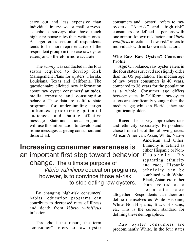carry out and less expensive than individual interviews or mail surveys. Telephone surveys also have much higher response rates than written ones. A larger cross-section of respondents tends to be more representative of the respondent group (in this case raw oyster eaters) and is therefore more accurate.

The survey was conducted in the four states required to develop Risk Management Plans for oysters: Florida, Louisiana, Texas and California. The questionnaire elicited new information about raw oyster consumers' attitudes, media exposure and consumption behavior. These data are useful to state programs for understanding target audiences, prioritizing potential audiences, and shaping effective messages. State and national programs will use this information to develop and refine messages targeting consumers and those at risk

consumers and "oyster" refers to raw oysters. "At-risk" and "high-risk" consumers are defined as persons with one or more known risk factors for *Vibrio vulnificus* infection. "Low-risk" refers to individuals with no known risk factors.

## **Who Eats Raw Oysters? Consumer Profile**

**Age:** On balance, raw oyster eaters in the four states surveyed are slightly older than the US population. The median age of raw oyster consumers is 40 years, compared to 36 years for the population as a whole. Consumer age differs between states. In California, raw oyster eaters are significantly younger than the median age; while in Florida, they are significantly older.

**Race:** The survey approaches race and ethnicity separately. Respondents chose from a list of the following races: African American, Asian, White, Native

## **Increasing consumer awareness** is an important first step toward behavior change. The ultimate purpose of *Vibrio vulnificus* education programs, however, is to convince those at-risk to stop eating raw oysters.

By changing high-risk consumers' habits, education programs can contribute to decreased rates of illness and death from *Vibrio vulnificus* infection.

Throughout the report, the term "consumer" refers to raw oyster

American and Other. Ethnicity is defined as either Hispanic or Non-Hispanic. By separating ethnicity and race, Hispanic ethnicity can be combined with White, Black, Asian, etc. rather than treated as a separate race

altogether. Respondents can therefore define themselves as White Hispanic, White Non-Hispanic, Black Hispanic, etc. This is the current standard for defining these demographics.

Raw oyster consumers are predominantly White. In the four states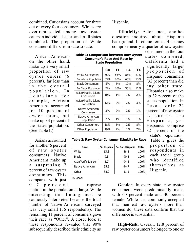combined, Caucasians account for three out of every four consumers. Whites are over-represented among raw oyster eaters in individual states and in all states combined. The proportion of White consumers differs from state to state.

African Americans on the other hand, make up a very small proportion of raw oyster eaters (6 percent), far less than in the overall population. In Louisiana for example, African Americans accounted for 10 percent of oyster eaters, but make up 33 percent of the state's population. (See Table 1.)

Asians accounted for another 6 percent of raw oyster consumers. Native Americans make up a surprising 2 percent of raw oyster consumers. This compares with just

0.7 percent represe ntation in the population at large. While interesting, this finding must be cautiously interpreted because the total number of Native Americans surveyed was very small (36 respondents). The remaining 11 percent of consumers gave their race as "Other". A closer look at these respondents revealed that 90% subsequently described their ethnicity as

### Hispanic.

**Ethnicity**: After race, another question inquired about Hispanic background. In ethnic terms, Hispanics comprise nearly a quarter of raw oyster

**Table 1: Comparison between Raw Oyster Consumer's Race And Race by State Population**

|                                    | <b>CA</b> | FL    | LA    | <b>TX</b> |
|------------------------------------|-----------|-------|-------|-----------|
| White Consumers                    | 65%       | 86%   | 85%   | 81%       |
| % White Population                 | 63%       | 80%   | 65%   | 73%       |
| <b>Black Consumers</b>             | 5%        | 6%    | 10%   | 8%        |
| % Black Population                 | 7%        | 16%   | 33%   | 12%       |
| Asian/Pacific Island<br>Consumers  | 10%       | $1\%$ | $1\%$ | 2%        |
| Asian/Pacific Island<br>Population | 12%       | 2%    | 2%    | 3%        |
| Native American<br>Consumers       | 3%        | 2%    | 2%    | $1\%$     |
| Native American<br>Population      | 2%        | $1\%$ | $1\%$ | 1%        |
| <b>Other Consumers</b>             | 18%       | 5%    | 2%    | 8%        |
| <b>Other Population</b>            | 19%       | 4%    | $1\%$ | 7%        |

consumers in the four states combined. California had a significantly larger proportion of Hispanic consumers (32 percent) than did any other state. Hispanics also make up 32 percent of the state's population. In Texas, only 21 percent of raw oyster consumers are Hispanic, yet Hispanics comprise 32 percent of the

**Table 2: Raw Oyster Consumer Ethnicity by Race**

| Race                   | % Hispanic | % Non-Hispanic | <b>Total</b> |
|------------------------|------------|----------------|--------------|
| White                  | 13.8       | 86.2           | 100%         |
| <b>Black</b>           | 9.5        | 90.5           | 100%         |
| Asian/Pacific Islander | 5.7        | 94.3           | 100%         |
| Native American        | 55.3       | 44.7           | 100%         |
| Other                  | 88.9       | 11.1           | 100%         |

state's population. Table 2 gives the proportion of respondents in each racial group who identified themselves as Hispanic.

P<.00001

**Gender:** In every state, raw oyster consumers were predominantly male, with 60 percent male and 40 percent female. While it is commonly accepted that men eat raw oysters more than women do, these data confirm that the difference is substantial.

**High-Risk:** Overall, 12.8 percent of raw oyster consumers belonged to one or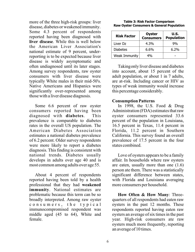more of the three high-risk groups: liver disease, diabetes or weakened immunity. Some 4.3 percent of respondents reported having been diagnosed with **liver disease**. While this is well below the American Liver Association's national estimate of 9 percent, underreporting is to be expected because liver disease is widely asymptomatic and often undiagnosed until its later stages. Among survey respondents, raw oyster consumers with liver disease were typically White males in their mid-50's. Native Americans and Hispanics were significantly over-represented among those with a liver disease diagnosis.

Some 6.6 percent of raw oyster consumers reported having been diagnosed with **diabetes**. This prevalence is comparable to diabetes rates in the overall US population. The American Diabetes Association estimates a national diabetes prevalence of 6.2 percent. Older survey respondents were more likely to report a diabetes diagnosis. This finding is consistent with national trends. Diabetes usually develops in adults over age 40 and is most common among adults over age 55.

About 4 percent of respondents reported having been told by a health professional that they had **weakened immunity**. National estimates are problematic because this term can be so broadly interpreted. Among raw oyster consumers, the typical immunocompromised respondent was middle aged (45 to 64), White and female.

| <b>Raw Oyster Consumers &amp; General Population</b> |             |                           |  |
|------------------------------------------------------|-------------|---------------------------|--|
| <b>Risk Factor</b>                                   | Oyster<br>C | U.S.<br><b>Donulation</b> |  |

**Table 3: Risk Factor Comparison**

| <b>Risk Factor</b> | <b>Oyster</b><br><b>Consumers</b> | U.S.<br><b>Population</b> |
|--------------------|-----------------------------------|---------------------------|
| Liver Dz           | $4.3\%$                           | 9%                        |
| <b>Diabetes</b>    | $6.6\%$                           | $6.2\%$                   |
| Weak Immunity      | 4%                                |                           |

Taking only liver disease and diabetes into account, about 15 percent of the adult population, or about 1 in 7 adults, are at-risk. Including cancer or HIV as types of weak immunity would increase this percentage considerably.

### **Consumption Patterns**

In 1998, the U.S. Food & Drug Administration (FDA) estimates that raw oyster consumers represented 33.6 percent of the population in Louisiana, 16.5 percent in Texas, 11.4 percent in Florida, 11.2 percent in Southern California. This survey found an overall prevalence of 17.5 percent in the four states combined.

Love of oysters appears to be a family affair. In households where raw oysters are eaten, usually more than one (1.6) person ate them. There was a statistically significant difference between states, with Florida and Louisiana averaging more consumers per household.

**How Often & How Many**: Threequarters of all respondents had eaten raw oysters in the past 12 months. These respondents reported having eaten raw oysters an average of six times in the past year. High-risk consumers ate raw oysters much more frequently, reporting an average of 10 times.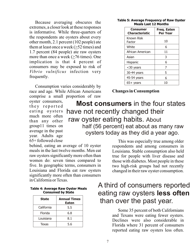Because averaging obscures the extremes, a closer look at these responses is informative. While three-quarters of the respondents ate oysters about every other month, 2.1 percent (102 people) ate them at least once a week ( $\geq$ 52 times) and 1.7 percent (84 people) ate raw oysters more than once a week  $(≥76 \text{ times})$ . One implication is that 4 percent of consumers may be exposed to risk of *Vibrio vulnificus* infection very frequently.

Consumption varies considerably by race and age. While African Americans comprise a small proportion of raw

oyster consumers, they reported eating oysters much more often than any other group11 times on average in the past year. Adults age 65+ followed close

behind, eating an average of 10 oyster meals in the last twelve months. Men eat raw oysters significantly more often than women do: seven times compared to five. In geographic terms, consumers in Louisiana and Florida eat raw oysters significantly more often than consumers in California or Texas.

### **Table 4: Average Raw Oyster Meals Consumed by State**

| <b>State</b> | <b>Annual Times</b><br><b>Eaten</b> |
|--------------|-------------------------------------|
| California   | 5.5                                 |
| Florida      | 6.8                                 |
| Louisiana    | 8.1                                 |
| Texas        | 5.6                                 |

**Table 5: Average Frequency of Raw Oyster Meals Last 12 Months**

| <b>Consumer</b><br><b>Characteristic</b> | Freq. Eaten<br><b>Per Year</b> |
|------------------------------------------|--------------------------------|
| Known Risk<br>Factor                     | 10                             |
| White                                    | 6                              |
| African American                         | 11                             |
| Asian                                    | 3                              |
| Hispanic                                 | 6                              |
| <30 years                                | 7                              |
| 30-44 years                              | 5                              |
| 45-54 years                              | 6                              |
| $65+$ years                              | 10                             |

## **Changes in Consumption**

 **Most consumers** in the four states have not recently changed their raw oyster eating habits. About half (56 percent) eat about as many raw oysters today as they did a year ago.

> This was especially true among older respondents and among consumers in Louisiana. Stable consumption also held true for people with liver disease and those with diabetes. Most people in these two high-risk groups had not recently changed in their raw oyster consumption.

## A third of consumers reported eating raw oysters **less often** than over the past year.

Some 35 percent of both Californians and Texans were eating fewer oysters. Declines were also considerable in Florida where 31 percent of consumers reported eating raw oysters less often.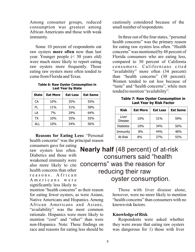Among consumer groups, reduced consumption was greatest among African Americans and those with weak immunity.

Some 10 percent of respondents eat raw oysters **more often** now than last year. Younger people (< 30 years old) were much more likely to report eating raw oysters more frequently. Those eating raw oysters more often tended to come from Florida and Texas.

**Table 6: Raw Oyster Consumption in Last Year by State**

| <b>State</b> | <b>Eat More</b> | <b>Eat Less</b> | <b>Eat Same</b> |
|--------------|-----------------|-----------------|-----------------|
| CA           | 10%             | 35%             | 55%             |
| FL.          | 11%             | 31%             | 58%             |
| LA           | 7%              | 29%             | 64%             |
| <b>TX</b>    | 10%             | 35%             | 55%             |
| ALL          | 10%             | 34%             | 56%             |

**Reasons for Eating Less:** "Personal health concerns" was the principal reason consumers gave for eating

raw oysters less often. Diabetics and those with weakened immunity were also more likely to cite health concerns than other reasons. African Americans were significantly less likely to

mention "health concerns" as their reason for eating fewer oysters, as were Asians, Native Americans and Hispanics. Among African Americans and Asians, "availability" was the most common rationale. Hispanics were more likely to mention "cost" and "other" than were non-Hispanics. Note: These findings on race and reasons for eating less should be cautiously considered because of the small number of respondents.

In three out of the four states, "personal health concerns" was the primary reason for eating raw oysters less often. "Health concerns" was mentioned by 48 percent of Florida consumers who are eating less, compared to 30 percent of California consumers. Californians cited "availability" more often (34 percent) than "health concerns" (30 percent). Women tended to eat less because of "taste" and "health concerns", while men tended to mention "availability".

**Table 7: Raw Oyster Consumption in Last Year by Risk Factor**

| <b>Risk</b>             | <b>Eat More</b> | <b>Eat Less</b> | <b>Eat Same</b> |
|-------------------------|-----------------|-----------------|-----------------|
| Liver<br><b>Disease</b> | 10%             | 31%             | 59%             |
| <b>Diabetes</b>         | 10%             | 34%             | 56%             |
| Immunity                | 8%              | 44%             | 48%             |
| At-Risk                 | 8%              | 37%             | 55%             |

**Nearly half** (48 percent) of at-risk consumers said "health concerns" was the reason for reducing their raw oyster consumption.

> Those with liver disease alone, however, were no more likely to mention "health concerns" than consumers with no known risk factors.

## **Knowledge of Risk**

Respondents were asked whether they were aware that eating raw oysters was dangerous for 1) those with liver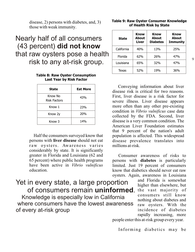disease, 2) persons with diabetes, and, 3) those with weak immunity.

## Nearly half of all consumers (43 percent) **did not know** that raw oysters pose a health risk to any at-risk group.

### **Table 8: Raw Oyster Consumption Last Year by Risk Factor**

| State                          | <b>Eat More</b> |
|--------------------------------|-----------------|
| Know No<br><b>Risk Factors</b> | 43%             |
| Know 1                         | 23%             |
| Know 2y                        | 20%             |
| Know <sub>3</sub>              | 14%             |

Half the consumers surveyed know that

persons with **liver disease** should not eat raw oysters. Awareness varies considerably by state. It is significantly greater in Florida and Louisiana (62 and 65 percent) where public health programs have been active in *Vibrio vulnificus* education.

Yet in every state, a large proportion of consumers remain **uninformed**. Knowledge is especially low in California where consumers have the lowest awareness of every at-risk group

### **Table 9: Raw Oyster Consumer Knowledge of Health Risk by State**

| <b>State</b> | <b>Know</b><br><b>About</b><br>Liver | <b>Know</b><br><b>About</b><br><b>Diabetes</b> | <b>Know</b><br><b>About</b><br><b>Immunity</b> |
|--------------|--------------------------------------|------------------------------------------------|------------------------------------------------|
| California   | 40%                                  | 13%                                            | 25%                                            |
| Florida      | 62%                                  | 26%                                            | 47%                                            |
| Louisiana    | 65%                                  | 32%                                            | 47%                                            |
| Texas        | 52%                                  | 19%                                            | 36%                                            |

Conveying information about liver disease risk is critical for two reasons. First, liver disease is a risk factor for severe illness. Liver disease appears more often than any other pre-existing condition in *Vibrio vulnificus* case data collected by the FDA. Second, liver disease is a very common condition. The American Liver Foundation estimates that 9 percent of the nation's adult population is affected. This widespread disease prevalence translates into millions at-risk.

Consumer awareness of risks to persons with **diabetes** is particularly limited. Just 19 percent of consumers know that diabetics should never eat raw oysters. Again, awareness in Louisiana

> and Florida is somewhat higher than elsewhere, but the vast majority of consumers still know nothing about diabetes and raw oysters. With the incidence of diabetes rapidly increasing, more

people enter this at-risk group every year.

Informing diabetics may be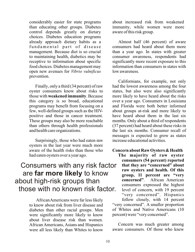considerably easier for state programs than educating other groups. Diabetes control depends greatly on dietary choices. Diabetes education programs already approach dietary habits as a fundamental part of disease management. Because diet is so crucial to maintaining health, diabetics may be receptive to information about specific food choices. Diabetes management may open new avenues for *Vibrio vulnificus* prevention.

Finally, only a third (34 percent) of raw oyster consumers know about risks to those with **weakened immunity**. Because this category is so broad, educational programs may benefit from focusing on a few, well-defined groups such as the HIVpositive and those in cancer treatment. These groups may also be more reachable than others through health professionals and health care organizations.

Surprisingly, those who had eaten raw oysters in the last year were much more aware of the health risks than those who had eaten oysters over a year ago.

## Consumers with any risk factor are **far more likely** to know about high-risk groups than those with no known risk factor.

 African Americans were far less likely to know about risk from liver disease and diabetes than other racial groups. Men were significantly more likely to know about liver disease risk than women. African Americans, Asians and Hispanics were all less likely than Whites to know about increased risk from weakened immunity, while women were more aware of this risk group.

Almost half (46 percent) of aware consumers had heard about them more than a year ago. In states with greater consumer awareness, respondents had significantly more recent exposure to this information than consumers in states with low awareness.

Californians, for example, not only had the lowest awareness among the four states, but also were also significantly more likely to have heard about the risks over a year ago. Consumers in Louisiana and Florida were both better informed about groups at-risk and more likely to have heard about them in the last six months. Only about a third of respondents (37 percent) had heard about these risks in the last six months. Consumer recall of messages is expected to grow as states increase educational activities.

### **Concern about Raw Oysters & Health**

**The majority of raw oyster consumers (54 percent) reported that they are "concerned" about raw oysters and health. Of this group, 11 percent are "very concerned"**. African American consumers expressed the highest level of concern, with 19 percent "very concerned". Hispanics follow closely, with 14 percent "very concerned". A smaller proportion of Whites and Native Americans (10 percent) were "very concerned".

Concern was much greater among aware consumers. Of those who knew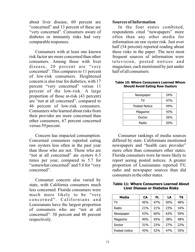about liver disease, 60 percent are "concerned" and 13 percent of these are "very concerned". Consumers aware of diabetes or immunity risks had very comparable responses.

Consumers with at least one known risk factor are more concerned than other consumers. Among those with liver disease, 20 percent are "very concerned". This compares to 11 percent of low-risk consumers. Heightened concern is also true for diabetics, with 17 percent "very concerned" versus 11 percent of the low-risk. A large proportion of those at-risk (43 percent) are "not at all concerned", compared to 46 percent of low-risk consumers. Consumers who learned about risks from their provider are more concerned than other consumers, 67 percent concerned versus 59 percent.

Concern has impacted consumption. Concerned consumers reported eating raw oysters less often in the past year than those who are not. Those who are "not at all concerned" ate oysters 6.5 times per year, compared to 5.7 for "somewhat concerned" and 5.6 for "very concerned".

Consumer concern also varied by state, with California consumers much less concerned. Florida consumers were much more likely to be "very concerned". Californians and Louisianans have the largest proportion of consumers who are "not at all concerned": 50 percent and 48 percent respectively.

### **Sources of Information**

In the four states combined, respondents cited "newspapers" more often than any other media for information on raw oyster risk. Just over half (54 percent) reported reading about these risks in the paper. The next most frequent sources of information were television, posted notices and magazines, each mentioned by just under half of all consumers.

| Newspaper            | 54% |
|----------------------|-----|
| TV                   | 47% |
| <b>Posted Notice</b> | 44% |
| Magazine             | 43% |
| Doctor               | 26% |
| Radio                | 20% |

### **Table 10: Where Consumers Learned Whom Should Avoid Eating Raw Oysters**

Consumer rankings of media sources differed by state. Californians mentioned newspapers and "health care provider" more often than consumers other states. Florida consumers were far more likely to report seeing posted notices. A greater proportion of Louisianans reported TV, radio and newspaper sources than did consumers in the other states.

### **Table 11: Where Consumers Learned About Liver Disease or Diabetes Risks**

| <b>Media</b>  | <b>CA</b> | FL  | LA  | <b>TX</b> |
|---------------|-----------|-----|-----|-----------|
| TV            | 45%       | 47% | 50% | 48%       |
| Radio         | 21%       | 21% | 23% | 16%       |
| Newspaper     | 43%       | 60% | 63% | 59%       |
| Magazine      | 40%       | 45% | 38% | 48%       |
| Doctor        | 31%       | 23% | 27% | 22%       |
| Posted notice | 43%       | 52% | 47% | 35%       |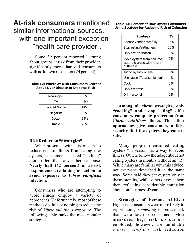## **At-risk consumers** mentioned similar informational sources, with one important exception--"health care provider".

Some 39 percent reported learning about groups at risk from their provider, significantly more than did consumers with no known risk factor (24 percent).

| Newspaper            | 55% |
|----------------------|-----|
| TV                   | 42% |
| <b>Posted Notice</b> | 44% |
| Magazine             | 52% |
| Doctor               | 39% |
| Radio                | 25% |

#### **Table 12: Where At-Risk Consumers Learned About Liver Disease or Diabetes Risk**

## **Risk Reduction "Strategies"**

When presented with a list of steps to reduce risk of illness from eating raw oysters, consumers selected "nothing" more often than any other response. **Nearly half (42 percent) of at-risk respondents are taking no action to avoid exposure to** *Vibrio vulnificus* **infection.** 

Consumers who are attempting to avoid illness employ a variety of approaches. Unfortunately, most of these methods do little or nothing to reduce the risk of *Vibrio vulnificus* exposure. The following table ranks the most popular strategies.

### **Table 13: Percent of Raw Oyster Consumers Using Strategy for Reducing Risk of Infection**

| Strategy                                                               | $\mathbf{0}_{\mathsf{f}}$ |
|------------------------------------------------------------------------|---------------------------|
| Choose vendor carefully                                                | 16%                       |
| Stop eating/eating less                                                | 10%                       |
| Only eat "in season"                                                   | 9%                        |
| Avoid oysters from polluted<br>waters & areas with recent<br>outbreaks | 7%                        |
| Judge by look or smell                                                 | 6%                        |
| Use sauce (Tabasco, lemon)                                             | 4%                        |
| Cook                                                                   | 3%                        |
| Only eat fresh                                                         | 3%                        |
| Drink alcohol                                                          | ን%                        |

**Among all these strategies, only "cooking" and "stop eating" offer consumers complete protection from**  *Vibrio vulnificus* **illness. The other approaches give consumers a false security that the oysters they eat are safe.** 

Many people mentioned eating oysters "in season" as a way to avoid illness. Others follow the adage about not eating oysters in months without an "R" While many are familiar with this advice, not everyone described it in the same way. Some said they eat oysters only in these months, while others avoid them then, reflecting considerable confusion about "safe" times of year.

**Strategies of Persons At-Risk:** High-risk consumers were more likely to report doing *something* to reduce risk than were low-risk consumers. Most measures high-risk consumers employed, however, are unreliable *Vibrio vulnificus* risk reduction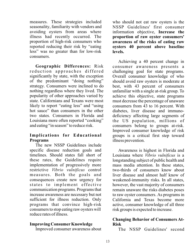measures. These strategies included seasonality, familiarity with vendors and avoiding oysters from areas where illness had recently occurred. The proportion of high-risk consumers who reported reducing their risk by "eating less" was no greater than for low-risk consumers.

**Geographic Differences:** Risk reduction approaches differed significantly by state, with the exception of the predominant "doing nothing" strategy. Consumers were inclined to do nothing regardless where they lived. The popularity of other approaches varied by state. Californians and Texans were most likely to report "eating less" and "using hot sauce" than consumers in the other two states. Consumers in Florida and Louisiana more often reported "cooking" and eating "in season" to reduce risk.

## **Implications for Educational Programs**

The new NSSP Guidelines include specific disease reduction goals and timelines. Should states fall short of these rates, the Guidelines require implementation of progressively more restrictive *Vibrio vulnificus* control measures. Both the goals and consequences create new urgency for states to implement effective communication programs. Programs that increase awareness are necessary but not sufficient for illness reduction. Only programs that convince high-risk consumers to stop eating raw oysters will reduce rates of illness.

## **Improving Consumer Knowledge**

Improved consumer awareness about

who should not eat raw oysters is the NSSP Guidelines' first consumer information objective, **Increase the proportion of raw oyster consumers' awareness of the risks of eating raw oysters 40 percent above baseline levels.**

Achieving a 40 percent change in consumer awareness presents a challenging goal for state programs. Overall consumer knowledge of who should avoid raw oysters is moderate at best, with 43 percent of consumers unfamiliar with a single at-risk group. To achieve this objective, state programs must decrease the percentage of unaware consumers from 43 to 16 percent. With diabetes, liver disease and immunodeficiency affecting large segments of the US population, millions of consumers belong to groups at-risk. Improved consumer knowledge of risk groups is a critical first step toward illness prevention.

Awareness is highest in Florida and Louisiana where *Vibrio vulnificus* is a longstanding subject of public health and mass media attention. In these states, two-thirds of consumers know about liver disease and almost half know of weakened-immunity risks. In all states, however, the vast majority of consumers remain unaware the risks diabetes poses to raw oyster consumers. As programs in California and Texas become more active, consumer knowledge of all three risk groups is expected to increase.

## **Changing Behavior of Consumers At-Risk**

The NSSP Guidelines' second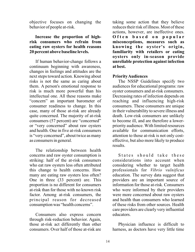objective focuses on changing the behavior of people at-risk.

## **Increase the proportion of highrisk consumers who refrain from eating raw oysters for health reasons 20 percent above baseline levels.**

If human behavior-change follows a continuum beginning with awareness, changes in feelings and attitudes are the next steps toward action. Knowing about risks is not the same as caring about them. A person's emotional response to risk is much more powerful than his intellectual one. All these reasons make "concern" an important barometer of consumer readiness to change. In this case, many of those at-risk are already quite concerned. The majority of at-risk consumers (57 percent) are "concerned" or "very concerned" about raw oysters and health. One in five at-risk consumers is "very concerned", about twice as many as consumers in general.

The relationship between health concerns and raw oyster consumption is striking: half of the at-risk consumers who eat raw oysters less often attributed this change to health concerns. How many are eating raw oysters less often? One in three (33 percent) are. This proportion is no different for consumers at-risk than for those with no known risk factor. Among at-risk consumers, the principal reason for decreased consumption was "health concerns".

Consumers also express concern through risk-reduction behavior. Again, those at-risk act differently than other consumers. Over half of those at-risk are

taking some action that they believe reduces their risk of illness. Most of these actions, however, are ineffective ones. **Often based on popular misconceptions, measures such as knowing the oyster's origin, familiarity with retailers or eating oysters only in-season provide unreliable protection against infection at best.**

## **Priority Audiences**

The NSSP Guidelines specify two audiences for educational programs: raw oyster consumers and at-risk consumers. Decreasing rates of infection depends on reaching and influencing high-risk consumers. These consumers are unique in their vulnerability to severe illness and death. Low-risk consumers are unlikely to become ill, and are therefore a lowerpriority audience. With limited resources available for communication efforts, attention to those at-risk is not only costeffective, but also more likely to produce results.

States should take these considerations into account when considering whether to target health professionals for *Vibrio vulnificus* education. The survey data suggest that providers are an important source of information for those at-risk. Consumers who were informed by their providers were more concerned about raw oysters and health than consumers who learned of these risks from other sources. Health care providers are clearly very influential educators.

Physician influence is difficult to harness, as doctors have very little time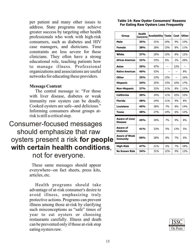per patient and many other issues to address. State programs may achieve greater success by targeting other health professionals who work with high-risk consumers, such as diabetes and HIV case managers, and dieticians. Time constraints are less severe for these clinicians. They often have a strong educational role, teaching patients how to manage illness. Professional organizations and associations are useful networks for educating these providers.

## **Message Content**

The central message is: "For those with liver disease, diabetes or weak immunity raw oysters can be deadly. Cooked oysters are safe--and delicious." Informing consumers about groups atrisk is still a critical step.

## Consumer-focused messages should emphasize that raw oysters present a risk **for people with certain health conditions**, not for everyone.

 These same messages should appear everywhere--on fact sheets, press kits, articles, etc.

Health programs should take advantage of at-risk consumer's desire to avoid illness, emphasizing truly protective actions. Programs can prevent illness among those at-risk by clarifying such misconceptions as "safe" times of year to eat oysters or choosing restaurants carefully. Illness and death can be prevented only if those at-risk stop eating oysters raw.

### **Table 14: Raw Oyster Consumers' Reasons For Eating Raw Oysters Less Frequently**

| Group                                   | <b>Health</b><br><b>Concerns</b> | Availability    | <b>Taste</b> | Cost           | <b>Other</b> |
|-----------------------------------------|----------------------------------|-----------------|--------------|----------------|--------------|
| Male                                    | 35%                              | 31%             | 10%          | 9%             | 15%          |
| <b>Female</b>                           | 38%                              | 28%             | 13%          | 8%             | 11%          |
| White                                   | 37%                              | 29%             | 13%          | 8%             | 12%          |
| <b>African American</b>                 | 32%                              | 33%             | 6%           | 2%             | 28%          |
| <b>Asian</b>                            | 39%                              | 47%             |              | 12%            |              |
| <b>Native American</b>                  | 40%                              | 53%             |              |                | 8%           |
| Other                                   | 35%                              | 23%             | 13%          | $\overline{a}$ | 16%          |
| <b>Hispanic</b>                         | 34%                              | 25%             | 13%          | 10%            | 17%          |
| <b>Non-Hispanic</b>                     | 37%                              | 32%             | 11%          | 8%             | 11%          |
| <b>California</b>                       | 30%                              | 34 <sub>%</sub> | 11%          | 10%            | 15%          |
|                                         |                                  |                 |              |                |              |
| <b>Florida</b>                          | 48%                              | 24 <sub>%</sub> | 11%          | 9%             | 8%           |
| Louisiana                               | 40%                              | 28%             | 7%           | 8%             | 14%          |
| Texas                                   | 38%                              | 27%             | 14%          | 6%             | 12%          |
| <b>Aware of Liver</b><br><b>Disease</b> | 45%                              | 30%             | 7%           | 9%             | 8%           |
| Aware of<br><b>Diabetes</b>             | 41%                              | 33%             | 5%           | 13%            | 5%           |
| <b>Aware of Weak</b><br><b>Immunity</b> | 50%                              | 28%             | 8%           | 7%             | 6%           |
| <b>High-Risk</b>                        | 47%                              | 21%             | 6%           | 7%             | 18%          |

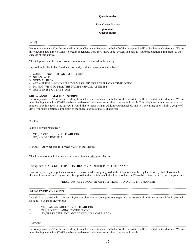#### **Questionnaire**

#### **Raw Oyster Survey**

**(#01-066) Questionnaire**

--------------------------------------------------------------------------------------------------------------------------------------------------------------------

#### IntroQ

-------------------------------------------------------------------------------------------------------------------------------------------------------------------- Hello, my name is <Your Name> calling from Clearwater Research on behalf of the Interstate Shellfish Sanitation Conference. We are interviewing adults in <STATE> to better understand what they know about oysters and health. Your participation is important to the success of this survey.

This telephone number was chosen at random to be included in the survey.

Just to double check that I've dialed correctly, is this <repeat phone number >?

1. CORRECT NUMBER **(GO TO PRIVRES)**

- 2. NO ANSWER
- 3. NORMAL BUSY

4. ANSWERING MACHINE **(LEAVE MESSAGE USE SCRIPT ONE TIME ONLY)**

5. DO NOT WISH TO DIAL THIS NUMBER **(NULL ATTEMPT)**

6. NUMBER IS NOT THE SAME

#### **SHOW ANSWER MACHINE SCRIPT:**

Hello, my name is <Your Name> calling from Clearwater Research on behalf of the Interstate Shellfish Sanitation Conference. We are interviewing adults in <STATE> to better understand what they know about oysters and health. This telephone number was chosen at random to be included in the survey. I would like to speak with an adult in your household and will be calling back within a couple of days. Your participation is important to the success of this survey. Thank you.

--------------------------------------------------------------------------------------------------------------------------------------------------------------------

--------------------------------------------------------------------------------------------------------------------------------------------------------------------

--------------------------------------------------------------------------------------------------------------------------------------------------------------------

#### PrivRes

Is this a private residence?

1. YES, CONTINUE **SKIP TO ADULTS**

2. NO, NON-RESIDENTIAL

NonRes - **Only get this if PrivRes = 2** (Non-Residential)

Thank you very much, but we are only interviewing private residences.

-------------------------------------------------------------------------------------------------------------------------------------------------------------------- WrongNum - **ONLY GET THIS IF INTROQ = 6 (NUMBER IS NOT THE SAME)**

-------------------------------------------------------------------------------------------------------------------------------------------------------------------- I am sorry, but my computer seems to have miss-dialed. I am going to dial this telephone number by had to verify that I have reached the telephone number in my records. It is possible that I might reach this household again. Please be patient and than you for your time.

#### PRESS ANY KEY TO CONTINUE TO INTROQ HAND DIAL THIS NUMBER

--------------------------------------------------------------------------------------------------------------------------------------------------------------------

#### Adults1 **EVERYONE GETS**

-------------------------------------------------------------------------------------------------------------------------------------------------------------------- I would like to speak with a person 18 years or older to ask some questions regarding the consumption of raw oysters. May I speak with an adult 18 years or older please?

- 1. YES, I AM AN ADULT. **SKIP TO ADULTS**<br>2. YES. ADULT COMING TO THE PHONE.
- 2. YES, ADULT COMING TO THE PHONE.<br>3. NO. PRESS CTRL END AND SCHEDULE
- 3. NO, PRESS CTRL END AND SCHEDULE A CALL-BACK.

#### -------------------------------------------------------------------------------------------------------------------------------------------------------------------- NewAdult

-------------------------------------------------------------------------------------------------------------------------------------------------------------------- Hello, my name is <Your Name> calling from Clearwater Research on behalf of the Interstate Shellfish Sanitation Conference. We are interviewing adults in <STATE> to better understand what they know about oysters and health.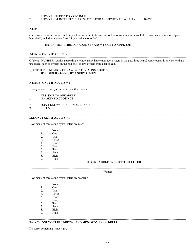## 1. PERSON INTERESTED, CONTINUE<br>2. PERSON NOT INTERESTED. PRESS

#### 2. PERSON NOT INTERESTED, PRESS CTRL END AND SCHEDULE A CALL- BACK.

#### Adults

Our survey requires that we randomly select one adult to be interviewed who lives in your household. How many members of your household, including yourself, are 18 years of age or older?

--------------------------------------------------------------------------------------------------------------------------------------------------------------------

--------------------------------------------------------------------------------------------------------------------------------------------------------------------

--------------------------------------------------------------------------------------------------------------------------------------------------------------------

#### \_ \_ ENTER THE NUMBER OF ADULTS **IF ANS = 1 SKIP TO ADULTS3b**

#### Adults3a - **ONLY IF ADULTS > 1**

Of these <NUMBER> adults, approximately how many have eaten raw oysters in the past three years? A raw oyster is any oyster that's uncooked, such as oysters on the half shell or raw oysters from a jar or can. --------------------------------------------------------------------------------------------------------------------------------------------------------------------

--------------------------------------------------------------------------------------------------------------------------------------------------------------------

#### \_\_ ENTER THE NUMBER OF RAW OYSTER-EATING ADULTS **IF NUMBER = 0 END, IF >1 SKIP TO MEN**

Adults3b - **ONLY IF ADULTS = 1** --------------------------------------------------------------------------------------------------------------------------------------------------------------------

Have you eaten raw oysters in the past three years?

## 1. **YES SKIP TO ONEADULT**<br>2. NO **SKIP TO CLOSING2**

#### 2. NO **SKIP TO CLOSING2**

#### 7. DON'T KNOW/I DON'T UNDERSTAND

9. REFUSED

#### Men **ONLY GET IF ADULTS > 1**

How many of these adult oyster eaters are men? --------------------------------------------------------------------------------------------------------------------------------------------------------------------

| $\Omega$ . | None |
|------------|------|
|            |      |

|   | One |
|---|-----|
| 2 | Two |

- 2. Two<br>3. Three
- 3. Three<br>4. Four
- 4. Four<br>5. Five
- Five
- 6. Six
- 7. Seven<br>8. Eight
- 8. Eight<br>9. Nine
- Nine

#### **IF ANS = ADULTS3a SKIP TO SELECTED**

--------------------------------------------------------------------------------------------------------------------------------------------------------------------

#### Women -------------------------------------------------------------------------------------------------------------------------------------------------------------------- --------------------------------------------------------------------------------------------------------------------------------------------------------------------

How many of these adult oyster eaters are women?

| 0. | None |
|----|------|
|    |      |

- 1. One<br>2. Two
- 2. Two<br>3. Three
- 3. Three<br>4. Four
- 4. Four<br>5. Five
- Five
- 6. Six <br>7. Seve
- 7. Seven<br>8. Eight
- Eight
- 9. Nine

#### WrongTot **ONLY GET IF ADULTS>1 AND MEN+WOMEN<>ADULTS**

I'm sorry, something is not right.

-------------------------------------------------------------------------------------------------------------------------------------------------------------------- --------------------------------------------------------------------------------------------------------------------------------------------------------------------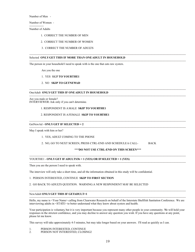Number of Men -

Number of Women -

--------------- Number of Adults

- 1. CORRECT THE NUMBER OF MEN
- 2. CORRECT THE NUMBER OF WOMEN
- 3. CORRECT THE NUMBER OF ADULTS

#### Selected **ONLY GET THIS IF MORE THAN ONE ADULT IN HOUSEHOLD** --------------------------------------------------------------------------------------------------------------------------------------------------------------------

The person in your household I need to speak with is the one that eats raw oysters. --------------------------------------------------------------------------------------------------------------------------------------------------------------------

Are you the one

- 1. YES SKIP **TO YOURTHE1**
- 2. NO **SKIP TO GETNEWAD**

#### OneAdult **ONLY GET THIS IF ONE ADULT IN HOUSEHOLD** --------------------------------------------------------------------------------------------------------------------------------------------------------------------

Are you male or female? INTERVIEWER: Ask only if you can't determine. --------------------------------------------------------------------------------------------------------------------------------------------------------------------

#### 1. RESPONDENT IS A MALE **SKIP TO YOURTHE1**

#### 2. RESPONDENT IS A FEMALE **SKIP TO YOURTHE1**

GetNewAd - **ONLY GET IF SELECTED = 2** --------------------------------------------------------------------------------------------------------------------------------------------------------------------

May I speak with him or her? --------------------------------------------------------------------------------------------------------------------------------------------------------------------

1. YES, ADULT COMING TO THE PHONE

2. NO, GO TO NEXT SCREEN, PRESS CTRL-END AND SCHEDULE A CALL- BACK

#### **\*\*\*DO NOT USE CTRL-END ON THIS SCREEN\*\*\***

#### YOURTHE1 - **ONLY GET IF ADULTS3b = 1 (YES) OR IF SELECTED = 1 (YES)** --------------------------------------------------------------------------------------------------------------------------------------------------------------------

Then you are the person I need to speak with. --------------------------------------------------------------------------------------------------------------------------------------------------------------------

The interview will only take a short time, and all the information obtained in this study will be confidential.

#### 1. PERSON INTERESTED, CONTINUE **SKIP TO FIRST SECTION**

#### 2. GO BACK TO ADULTS QUESTION. WARNING:A NEW RESPONDENT MAY BE SELECTED

#### NewAdult **ONLY GET THIS IF GETADULT=1** --------------------------------------------------------------------------------------------------------------------------------------------------------------------

Hello, my name is <Your Name> calling from Clearwater Research on behalf of the Interstate Shellfish Sanitation Conference. We are interviewing adults in <STATE> to better understand what they know about oysters and health. --------------------------------------------------------------------------------------------------------------------------------------------------------------------

Your participation is voluntary, but it is very important because you represent many other people in your community. We will hold your responses in the strictest confidence, and you may decline to answer any question you wish. If you have any questions at any point, please let me know.

This survey will take approximately 4-5 minutes, but may take longer based on your answers. I'll read as quickly as I can.

1. PERSON INTERESTED, CONTINUE<br>2. PERSON NOT INTERESTED. CLOSI

PERSON NOT INTERESTED, CLOSING2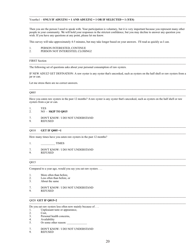#### -------------------------------------------------------------------------------------------------------------------------------------------------------------------- Yourthe1 - **ONLY IF ADULTS1** = 1 AND ADULTS2 = 1 **OR IF SELECTED** = 1 **(YES)**

Then you are the person I need to speak with. Your participation is voluntary, but it is very important because you represent many other people in your community. We will hold your responses in the strictest confidence, but you may decline to answer any question you wish. If you have any questions at any point, please let me know.

--------------------------------------------------------------------------------------------------------------------------------------------------------------------

This survey will take approximately 4-5 minutes, but may take longer based on your answers. I'll read as quickly as I can.

1. PERSON INTERESTED, CONTINUE<br>2. PERSON NOT INTERESTED. CLOSI

#### PERSON NOT INTERESTED, CLOSING2

#### -------------------------------------------------------------------------------------------------------------------------------------------------------------------- FIRST Section

-------------------------------------------------------------------------------------------------------------------------------------------------------------------- The following set of questions asks about your personal consumption of raw oysters.

IF NEW ADULT GET DEFINATION: A raw oyster is any oyster that's uncooked, such as oysters on the half shell or raw oysters from a jar or can.

Let me stress there are no correct answers.

#### -------------------------------------------------------------------------------------------------------------------------------------------------------------------- Q005

-------------------------------------------------------------------------------------------------------------------------------------------------------------------- Have you eaten raw oysters in the past 12 months? A raw oyster is any oyster that's uncooked, such as oysters on the half shell or raw oysters from a jar or can.

--------------------------------------------------------------------------------------------------------------------------------------------------------------------

--------------------------------------------------------------------------------------------------------------------------------------------------------------------

--------------------------------------------------------------------------------------------------------------------------------------------------------------------

--------------------------------------------------------------------------------------------------------------------------------------------------------------------

- 1. YES
- 2. NO **SKIP TO Q015**
- 7. DON'T KNOW / I DO NOT UNDERSTAND<br>9. REFUSED
- **REFUSED**

#### -------------------------------------------------------------------------------------------------------------------------------------------------------------------- Q010 **GET IF Q005 =1**

How many times have you eaten raw oysters in the past 12 months?

1. TIMES

#### 7. DON'T KNOW / I DO NOT UNDERSTAND

9. REFUSED

#### -------------------------------------------------------------------------------------------------------------------------------------------------------------------- Q015

Compared to a year ago, would you say you eat raw oysters . . .

- 1. More often than before,<br>2. Less often than before,
- Less often than before, or
- 3. About the same

## 7. DON'T KNOW / I DO NOT UNDERSTAND<br>9. REFUSED

**REFUSED** 

#### Q020 **GET IF Q015=2**

Do you eat raw oysters less often now mainly because of . . .

- 1. Unpleasant taste or appearance,<br>2. Cost,
- 
- 2. Cost,<br>3. Perso
- 3. Personal health concerns,<br>4. Availability
- 4. Availability<br>5. Or some other Or some other reason:
- 7. DON'T KNOW / I DO NOT UNDERSTAND<br>9. REFUSED
- **REFUSED**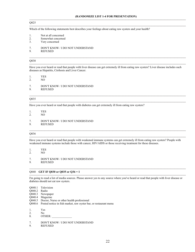#### **(RANDOMIZE LIST 1-4 FOR PRESENTATION)** --------------------------------------------------------------------------------------------------------------------------------------------------------------------

--------------------------------------------------------------------------------------------------------------------------------------------------------------------

#### Q025

Which of the following statements best describes your feelings about eating raw oysters and your health?

- 1. Not at all concerned<br>2. Somewhat concerne
- 2. Somewhat concerned<br>3. Very concerned
- Very concerned
- 7. DON'T KNOW / I DO NOT UNDERSTAND<br>9. REFUSED
- **REFUSED**

#### Q030

Have you ever heard or read that people with liver disease can get extremely ill from eating raw oysters? Liver disease includes such diseases as Hepatitis, Cirrhosis and Liver Cancer. --------------------------------------------------------------------------------------------------------------------------------------------------------------------

--------------------------------------------------------------------------------------------------------------------------------------------------------------------

--------------------------------------------------------------------------------------------------------------------------------------------------------------------

1. YES<br>2. NO

2. NO

7. DON'T KNOW / I DO NOT UNDERSTAND<br>9. REFUSED

**REFUSED** 

#### Q035 --------------------------------------------------------------------------------------------------------------------------------------------------------------------

Have you ever heard or read that people with diabetes can get extremely ill from eating raw oysters?

1. YES

- 2. NO
- 7. DON'T KNOW / I DO NOT UNDERSTAND<br>9. REFUSED

**REFUSED** 

#### Q036

Have you ever heard or read that people with weakened immune systems can get extremely ill from eating raw oysters? People with weakened immune systems include those with cancer, HIV/AIDS or those receiving treatment for these diseases.

-------------------------------------------------------------------------------------------------------------------------------------------------------------------- --------------------------------------------------------------------------------------------------------------------------------------------------------------------

1. YES<br>2. NO 2. NO

7. DON'T KNOW / I DO NOT UNDERSTAND<br>9. REFUSED

**REFUSED** 

#### Q040 **GET IF Q030 or Q035 or Q36 = 1**

I'm going to read a list of media sources. Please answer yes to any source where you've heard or read that people with liver disease or diabetes should not eat raw oysters. --------------------------------------------------------------------------------------------------------------------------------------------------------------------

--------------------------------------------------------------------------------------------------------------------------------------------------------------------

- Q040.1 Television
- Q040.2 Radio
- Q040.3 Newspaper
- Q040.4 Magazine
- Q040.5 Doctor, Nurse or other health professional
- Q040.6 Posted notice in fish market, raw oyster bar, or restaurant menu
- 1. Yes<br>2. No
- 2. No<br>8. OT
- OTHER:

7. DON'T KNOW / I DO NOT UNDERSTAND

9. REFUSED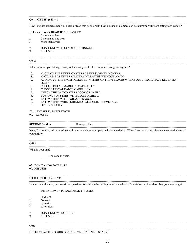#### -------------------------------------------------------------------------------------------------------------------------------------------------------------------- Q041 **GET IF q040 = 1**

-------------------------------------------------------------------------------------------------------------------------------------------------------------------- How long has it been since you heard or read that people with liver disease or diabetes can get extremely ill from eating raw oysters?

--------------------------------------------------------------------------------------------------------------------------------------------------------------------

## **INTERVIEWER READ IF NECESSARY**<br>1. 6 months or less

- 1. 6 months or less<br>2. 7 months to one
- 2. 7 months to one year<br>3. More than a vear
- More than a year

#### 7. DON'T KNOW / I DO NOT UNDERSTAND

9. REFUSED

#### Q042

-------------------------------------------------------------------------------------------------------------------------------------------------------------------- What steps are you taking, if any, to decrease your health risk when eating raw oysters?

- 10. AVOID OR EAT FEWER OYSTERS IN THE SUMMER MONTHS.<br>11. AVOID OR EAT FEWER OYSTERS IN MONTHS WITHOUT AN "
- 11. AVOID OR EAT FEWER OYSTERS IN MONTHS WITHOUT AN "R"<br>12. AVOID OYSTERS FROM POLLUTED WATERS OR FROM PLACES
- AVOID OYSTERS FROM POLLUTED WATERS OR FROM PLACES WHERE OUTBREAKS HAVE RECENTLY OCCURRED.
- 13. CHOOSE RETAIL MARKETS CAREFULLY.<br>14. CHOOSE RESTAURANTS CAREFULLY.
- 14. CHOOSE RESTAURANTS CAREFULLY.<br>15. CHECK THE WAY OYSTERS LOOK OR
- CHECK THE WAY OYSTERS LOOK OR SMELL.
- 16. BUY ONLY OYSTERS WITH CLOSED SHELL.<br>17. EATOYSTERS WITH TOBASCO SAUCE.
- 17. EAT OYSTERS WITH TOBASCO SAUCE.<br>18. EAT OYSTERS WHILE DRINKING ALCO
- 18. EAT OYSTERS WHILE DRINKING ALCOHOLIC BEVERAGE.<br>19. OTHER SPECIFY
- OTHER SPECIFY
- 77. NOT SURE / DON'T KNOW
- 99. REFUSED

#### -------------------------------------------------------------------------------------------------------------------------------------------------------------------- -------------------------------------------------------------------------------------------------------------------------------------------------------------------- **SECOND Section** Demographics

Now, I'm going to ask a set of general questions about your personal characteristics. When I read each one, please answer to the best of your ability.

#### -------------------------------------------------------------------------------------------------------------------------------------------------------------------- Q045

--------------------------------------------------------------------------------------------------------------------------------------------------------------------

What is your age?

Code age in years

#### 07. DON'T KNOW/NOT SURE

09. REFUSED

#### -------------------------------------------------------------------------------------------------------------------------------------------------------------------- Q050 **GET IF Q045 = 999**

-------------------------------------------------------------------------------------------------------------------------------------------------------------------- I understand this may be a sensitive question. Would you be willing to tell me which of the following best describes your age range?

#### INTERVIEWER PLEASE READ 1 4 ONLY.

- 1. Under 30<br>2. 30 to 44
- 2. 30 to 44<br>3. 45 to 64
- 3. 45 to 64<br>4. 65 or old
- 65 or older
- 7. DON'T KNOW / NOT SURE
- 9. REFUSED

#### Q055

[INTERVIEWER: RECORD GENDER, VERIFY IF NECESSARY]

-------------------------------------------------------------------------------------------------------------------------------------------------------------------- --------------------------------------------------------------------------------------------------------------------------------------------------------------------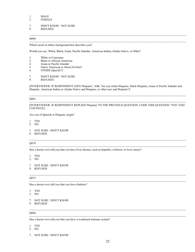## 1. MALE<br>2. FEMAI

**FEMALE** 

#### 7. DON'T KNOW / NOT SURE 9. REFUSED

#### Q060

Which racial or ethnic background best describes you? --------------------------------------------------------------------------------------------------------------------------------------------------------------------

Would you say: White, Black, Asian, Pacific Islander, American Indian, Alaska Native, or Other?

- 1. White or Caucasian<br>2. Black or African-Ar
- 2. Black or African-American<br>4. Asian or Pacific Islander
- 4. Asian or Pacific Islander
- 5. Native American or Aleut (Al-Oot)?
- 6. OTHER (Specify?)
- 7. DON'T KNOW / NOT SURE<br>9. REFUSED
- **REFUSED**

[INTERVIEWER: IF RESPONDENT SAYS 'Hispanic', ASK 'Are you white-Hispanic, black-Hispanic, Asian or Pacific Islander and Hispanic, American Indian or Alaska Native and Hispanic, or other race and Hispanic?]

--------------------------------------------------------------------------------------------------------------------------------------------------------------------

#### Q065 --------------------------------------------------------------------------------------------------------------------------------------------------------------------

[INTERVIEWER: IF RESPONDENT REPLIED 'Hispanic' TO THE PREVIOUS QUESTION, CODE THIS QUESTION "YES" AND CONTINUE] --------------------------------------------------------------------------------------------------------------------------------------------------------------------

Are you of Spanish or Hispanic origin?

- 1. YES
- 2. NO
- 
- 7. NOT SURE / DON'T KNOW
- 9. REFUSED

#### Q070

Has a doctor ever told you that you have liver disease, such as hepatitis, cirrhosis, or liver cancer? --------------------------------------------------------------------------------------------------------------------------------------------------------------------

- 1. YES
- 2. NO
- 7. NOT SURE / DON'T KNOW
- 9. REFUSED

#### Q075

Has a doctor ever told you that you have diabetes?

#### 1. YES

- 2. NO
- 7. NOT SURE / DON'T KNOW
- 9. REFUSED

#### Q080 --------------------------------------------------------------------------------------------------------------------------------------------------------------------

Has a doctor ever told you that you have a weakened immune system? --------------------------------------------------------------------------------------------------------------------------------------------------------------------

- 1. YES
- 2. NO
- 7. NOT SURE / DON'T KNOW

-------------------------------------------------------------------------------------------------------------------------------------------------------------------- --------------------------------------------------------------------------------------------------------------------------------------------------------------------